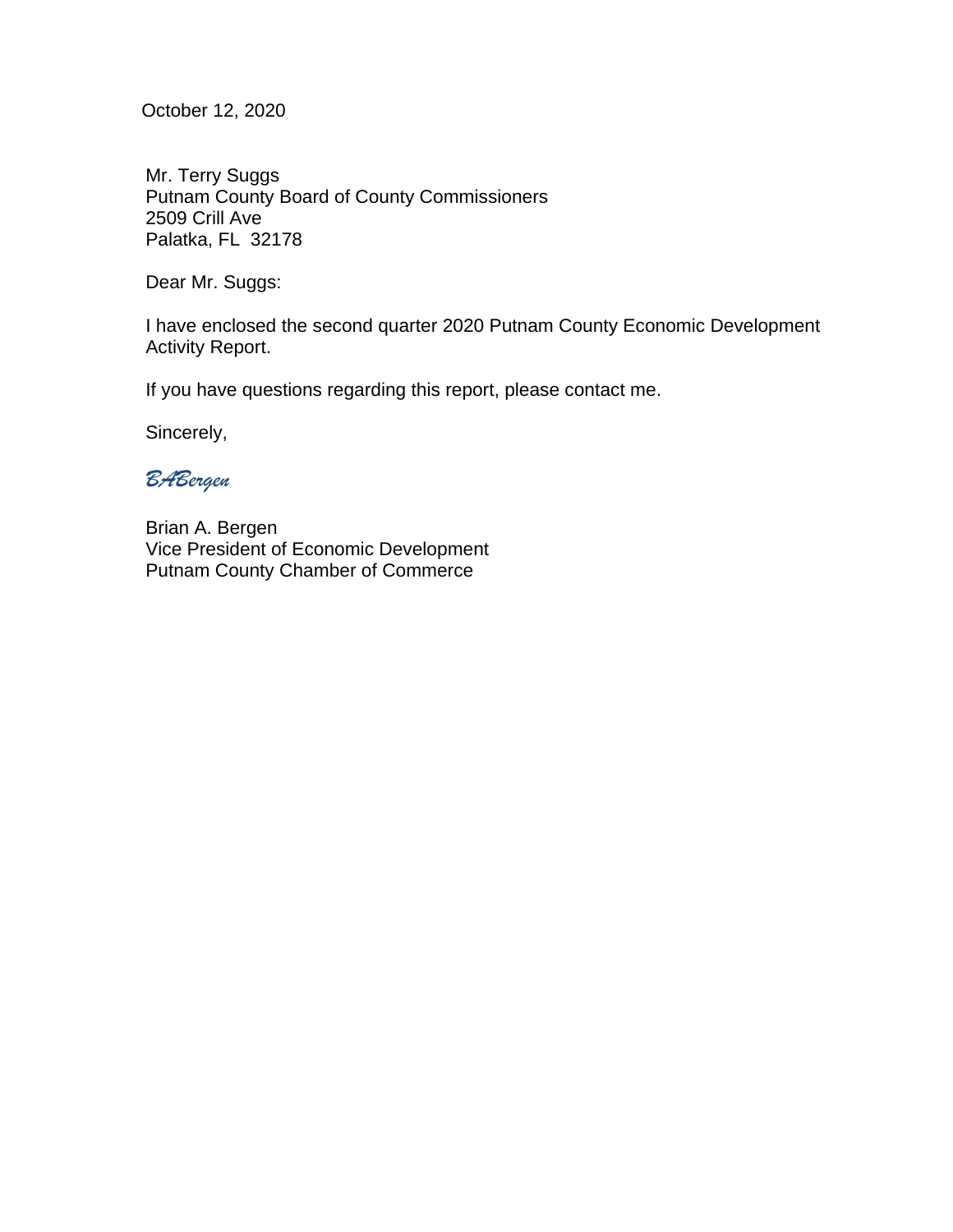October 12, 2020

Mr. Terry Suggs Putnam County Board of County Commissioners 2509 Crill Ave Palatka, FL 32178

Dear Mr. Suggs:

I have enclosed the second quarter 2020 Putnam County Economic Development Activity Report.

If you have questions regarding this report, please contact me.

Sincerely,

*BABergen*

Brian A. Bergen Vice President of Economic Development Putnam County Chamber of Commerce